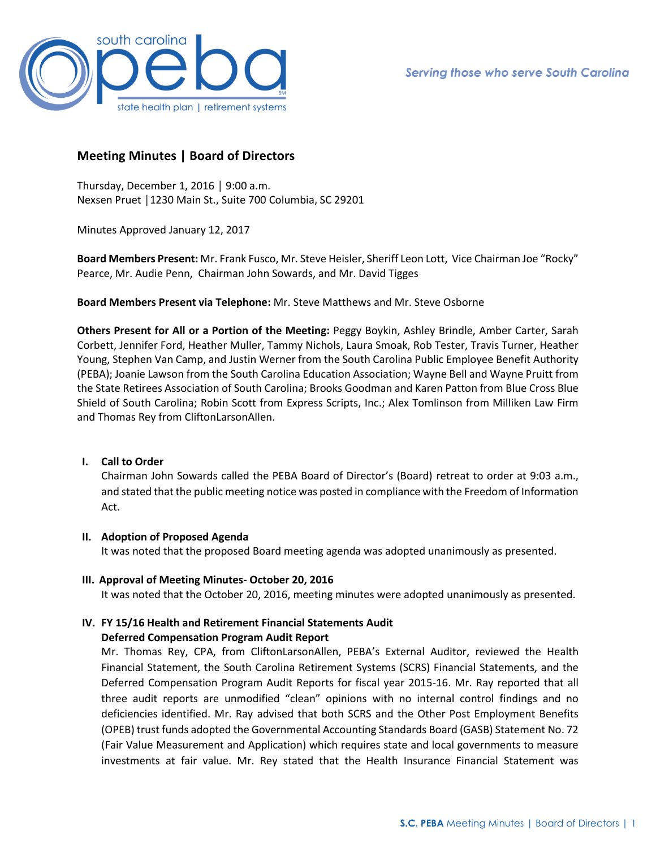

## **Meeting Minutes | Board of Directors**

Thursday, December 1, 2016 │ 9:00 a.m. Nexsen Pruet │1230 Main St., Suite 700 Columbia, SC 29201

Minutes Approved January 12, 2017

**Board Members Present:** Mr. Frank Fusco, Mr. Steve Heisler, Sheriff Leon Lott, Vice Chairman Joe "Rocky" Pearce, Mr. Audie Penn, Chairman John Sowards, and Mr. David Tigges

**Board Members Present via Telephone:** Mr. Steve Matthews and Mr. Steve Osborne

**Others Present for All or a Portion of the Meeting:** Peggy Boykin, Ashley Brindle, Amber Carter, Sarah Corbett, Jennifer Ford, Heather Muller, Tammy Nichols, Laura Smoak, Rob Tester, Travis Turner, Heather Young, Stephen Van Camp, and Justin Werner from the South Carolina Public Employee Benefit Authority (PEBA); Joanie Lawson from the South Carolina Education Association; Wayne Bell and Wayne Pruitt from the State Retirees Association of South Carolina; Brooks Goodman and Karen Patton from Blue Cross Blue Shield of South Carolina; Robin Scott from Express Scripts, Inc.; Alex Tomlinson from Milliken Law Firm and Thomas Rey from CliftonLarsonAllen.

## **I. Call to Order**

Chairman John Sowards called the PEBA Board of Director's (Board) retreat to order at 9:03 a.m., and stated that the public meeting notice was posted in compliance with the Freedom of Information Act.

## **II. Adoption of Proposed Agenda**

It was noted that the proposed Board meeting agenda was adopted unanimously as presented.

**III. Approval of Meeting Minutes- October 20, 2016**

It was noted that the October 20, 2016, meeting minutes were adopted unanimously as presented.

# **IV. FY 15/16 Health and Retirement Financial Statements Audit**

## **Deferred Compensation Program Audit Report**

Mr. Thomas Rey, CPA, from CliftonLarsonAllen, PEBA's External Auditor, reviewed the Health Financial Statement, the South Carolina Retirement Systems (SCRS) Financial Statements, and the Deferred Compensation Program Audit Reports for fiscal year 2015-16. Mr. Ray reported that all three audit reports are unmodified "clean" opinions with no internal control findings and no deficiencies identified. Mr. Ray advised that both SCRS and the Other Post Employment Benefits (OPEB) trust funds adopted the Governmental Accounting Standards Board (GASB) Statement No. 72 (Fair Value Measurement and Application) which requires state and local governments to measure investments at fair value. Mr. Rey stated that the Health Insurance Financial Statement was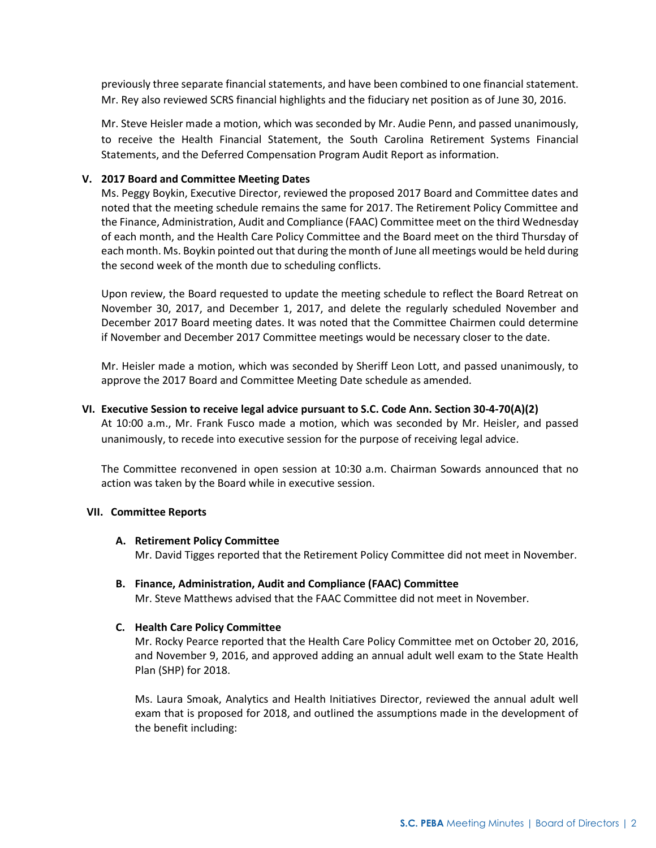previously three separate financial statements, and have been combined to one financial statement. Mr. Rey also reviewed SCRS financial highlights and the fiduciary net position as of June 30, 2016.

Mr. Steve Heisler made a motion, which was seconded by Mr. Audie Penn, and passed unanimously, to receive the Health Financial Statement, the South Carolina Retirement Systems Financial Statements, and the Deferred Compensation Program Audit Report as information.

## **V. 2017 Board and Committee Meeting Dates**

Ms. Peggy Boykin, Executive Director, reviewed the proposed 2017 Board and Committee dates and noted that the meeting schedule remains the same for 2017. The Retirement Policy Committee and the Finance, Administration, Audit and Compliance (FAAC) Committee meet on the third Wednesday of each month, and the Health Care Policy Committee and the Board meet on the third Thursday of each month. Ms. Boykin pointed out that during the month of June all meetings would be held during the second week of the month due to scheduling conflicts.

Upon review, the Board requested to update the meeting schedule to reflect the Board Retreat on November 30, 2017, and December 1, 2017, and delete the regularly scheduled November and December 2017 Board meeting dates. It was noted that the Committee Chairmen could determine if November and December 2017 Committee meetings would be necessary closer to the date.

Mr. Heisler made a motion, which was seconded by Sheriff Leon Lott, and passed unanimously, to approve the 2017 Board and Committee Meeting Date schedule as amended.

## **VI. Executive Session to receive legal advice pursuant to S.C. Code Ann. Section 30-4-70(A)(2)**

At 10:00 a.m., Mr. Frank Fusco made a motion, which was seconded by Mr. Heisler, and passed unanimously, to recede into executive session for the purpose of receiving legal advice.

The Committee reconvened in open session at 10:30 a.m. Chairman Sowards announced that no action was taken by the Board while in executive session.

## **VII. Committee Reports**

#### **A. Retirement Policy Committee**

Mr. David Tigges reported that the Retirement Policy Committee did not meet in November.

## **B. Finance, Administration, Audit and Compliance (FAAC) Committee**

Mr. Steve Matthews advised that the FAAC Committee did not meet in November.

## **C. Health Care Policy Committee**

Mr. Rocky Pearce reported that the Health Care Policy Committee met on October 20, 2016, and November 9, 2016, and approved adding an annual adult well exam to the State Health Plan (SHP) for 2018.

Ms. Laura Smoak, Analytics and Health Initiatives Director, reviewed the annual adult well exam that is proposed for 2018, and outlined the assumptions made in the development of the benefit including: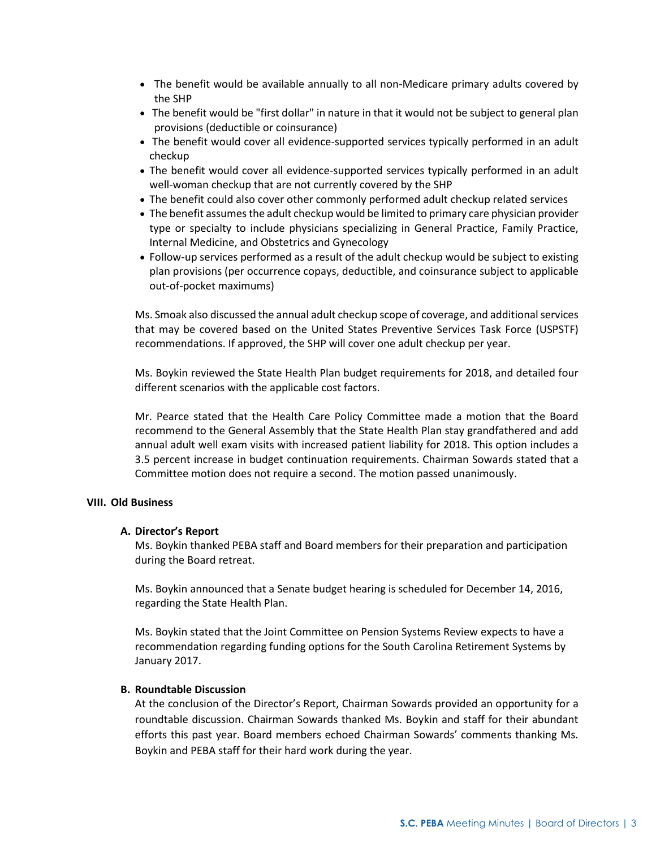- The benefit would be available annually to all non-Medicare primary adults covered by the SHP
- The benefit would be "first dollar" in nature in that it would not be subject to general plan provisions (deductible or coinsurance)
- The benefit would cover all evidence-supported services typically performed in an adult checkup
- The benefit would cover all evidence-supported services typically performed in an adult well-woman checkup that are not currently covered by the SHP
- The benefit could also cover other commonly performed adult checkup related services
- The benefit assumes the adult checkup would be limited to primary care physician provider type or specialty to include physicians specializing in General Practice, Family Practice, Internal Medicine, and Obstetrics and Gynecology
- Follow-up services performed as a result of the adult checkup would be subject to existing plan provisions (per occurrence copays, deductible, and coinsurance subject to applicable out-of-pocket maximums)

Ms. Smoak also discussed the annual adult checkup scope of coverage, and additional services that may be covered based on the United States Preventive Services Task Force (USPSTF) recommendations. If approved, the SHP will cover one adult checkup per year.

Ms. Boykin reviewed the State Health Plan budget requirements for 2018, and detailed four different scenarios with the applicable cost factors.

Mr. Pearce stated that the Health Care Policy Committee made a motion that the Board recommend to the General Assembly that the State Health Plan stay grandfathered and add annual adult well exam visits with increased patient liability for 2018. This option includes a 3.5 percent increase in budget continuation requirements. Chairman Sowards stated that a Committee motion does not require a second. The motion passed unanimously.

## **VIII. Old Business**

## **A. Director's Report**

Ms. Boykin thanked PEBA staff and Board members for their preparation and participation during the Board retreat.

Ms. Boykin announced that a Senate budget hearing is scheduled for December 14, 2016, regarding the State Health Plan.

Ms. Boykin stated that the Joint Committee on Pension Systems Review expects to have a recommendation regarding funding options for the South Carolina Retirement Systems by January 2017.

## **B. Roundtable Discussion**

At the conclusion of the Director's Report, Chairman Sowards provided an opportunity for a roundtable discussion. Chairman Sowards thanked Ms. Boykin and staff for their abundant efforts this past year. Board members echoed Chairman Sowards' comments thanking Ms. Boykin and PEBA staff for their hard work during the year.